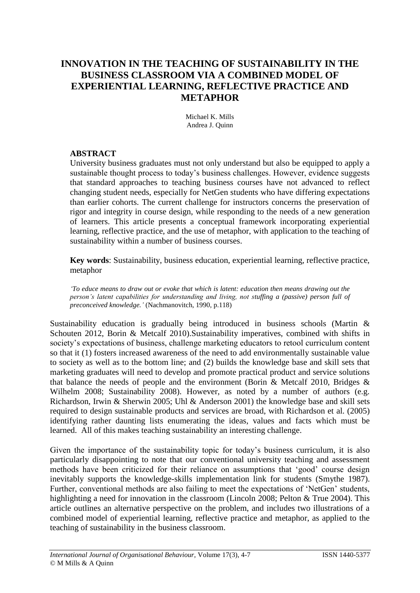# **INNOVATION IN THE TEACHING OF SUSTAINABILITY IN THE BUSINESS CLASSROOM VIA A COMBINED MODEL OF EXPERIENTIAL LEARNING, REFLECTIVE PRACTICE AND METAPHOR**

Michael K. Mills Andrea J. Quinn

### **ABSTRACT**

University business graduates must not only understand but also be equipped to apply a sustainable thought process to today's business challenges. However, evidence suggests that standard approaches to teaching business courses have not advanced to reflect changing student needs, especially for NetGen students who have differing expectations than earlier cohorts. The current challenge for instructors concerns the preservation of rigor and integrity in course design, while responding to the needs of a new generation of learners. This article presents a conceptual framework incorporating experiential learning, reflective practice, and the use of metaphor, with application to the teaching of sustainability within a number of business courses.

**Key words**: Sustainability, business education, experiential learning, reflective practice, metaphor

*'To educe means to draw out or evoke that which is latent: education then means drawing out the person's latent capabilities for understanding and living, not stuffing a (passive) person full of preconceived knowledge.'* (Nachmanovitch, 1990, p.118)

Sustainability education is gradually being introduced in business schools (Martin & Schouten 2012, Borin & Metcalf 2010).Sustainability imperatives, combined with shifts in society's expectations of business, challenge marketing educators to retool curriculum content so that it (1) fosters increased awareness of the need to add environmentally sustainable value to society as well as to the bottom line; and (2) builds the knowledge base and skill sets that marketing graduates will need to develop and promote practical product and service solutions that balance the needs of people and the environment (Borin & Metcalf 2010, Bridges & Wilhelm 2008; Sustainability 2008). However, as noted by a number of authors (e.g. Richardson, Irwin & Sherwin 2005; Uhl & Anderson 2001) the knowledge base and skill sets required to design sustainable products and services are broad, with Richardson et al. (2005) identifying rather daunting lists enumerating the ideas, values and facts which must be learned. All of this makes teaching sustainability an interesting challenge.

Given the importance of the sustainability topic for today's business curriculum, it is also particularly disappointing to note that our conventional university teaching and assessment methods have been criticized for their reliance on assumptions that 'good' course design inevitably supports the knowledge-skills implementation link for students (Smythe 1987). Further, conventional methods are also failing to meet the expectations of 'NetGen' students, highlighting a need for innovation in the classroom (Lincoln 2008; Pelton & True 2004). This article outlines an alternative perspective on the problem, and includes two illustrations of a combined model of experiential learning, reflective practice and metaphor, as applied to the teaching of sustainability in the business classroom.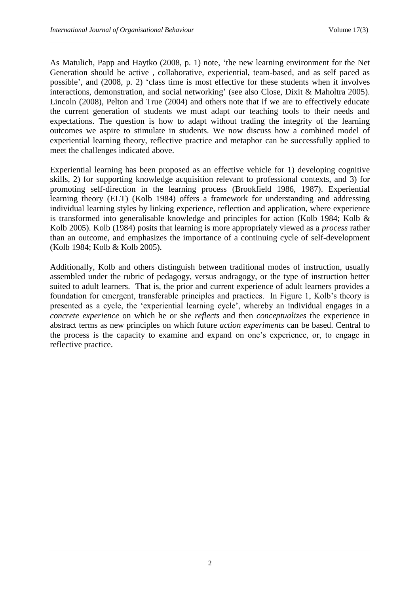As Matulich, Papp and Haytko (2008, p. 1) note, 'the new learning environment for the Net Generation should be active , collaborative, experiential, team-based, and as self paced as possible', and (2008, p. 2) 'class time is most effective for these students when it involves interactions, demonstration, and social networking' (see also Close, Dixit & Maholtra 2005). Lincoln (2008), Pelton and True (2004) and others note that if we are to effectively educate the current generation of students we must adapt our teaching tools to their needs and expectations. The question is how to adapt without trading the integrity of the learning outcomes we aspire to stimulate in students. We now discuss how a combined model of experiential learning theory, reflective practice and metaphor can be successfully applied to meet the challenges indicated above.

Experiential learning has been proposed as an effective vehicle for 1) developing cognitive skills, 2) for supporting knowledge acquisition relevant to professional contexts, and 3) for promoting self-direction in the learning process (Brookfield 1986, 1987). Experiential learning theory (ELT) (Kolb 1984) offers a framework for understanding and addressing individual learning styles by linking experience, reflection and application, where experience is transformed into generalisable knowledge and principles for action (Kolb 1984; Kolb & Kolb 2005). Kolb (1984) posits that learning is more appropriately viewed as a *process* rather than an outcome, and emphasizes the importance of a continuing cycle of self-development (Kolb 1984; Kolb & Kolb 2005).

Additionally, Kolb and others distinguish between traditional modes of instruction, usually assembled under the rubric of pedagogy, versus andragogy, or the type of instruction better suited to adult learners. That is, the prior and current experience of adult learners provides a foundation for emergent, transferable principles and practices. In Figure 1, Kolb's theory is presented as a cycle, the 'experiential learning cycle', whereby an individual engages in a *concrete experience* on which he or she *reflects* and then *conceptualizes* the experience in abstract terms as new principles on which future *action experiments* can be based. Central to the process is the capacity to examine and expand on one's experience, or, to engage in reflective practice.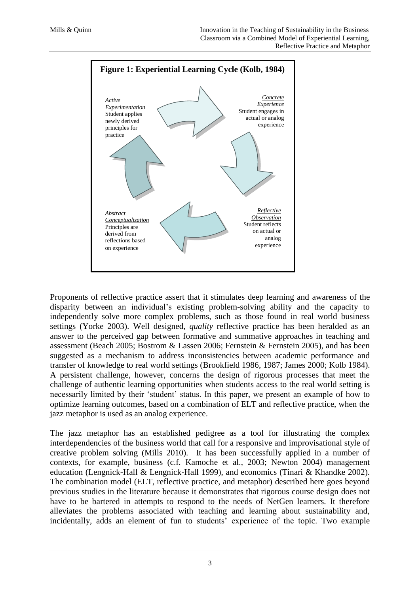

Proponents of reflective practice assert that it stimulates deep learning and awareness of the disparity between an individual's existing problem-solving ability and the capacity to independently solve more complex problems, such as those found in real world business settings (Yorke 2003). Well designed, *quality* reflective practice has been heralded as an answer to the perceived gap between formative and summative approaches in teaching and assessment (Beach 2005; Bostrom & Lassen 2006; Fernstein & Fernstein 2005), and has been suggested as a mechanism to address inconsistencies between academic performance and transfer of knowledge to real world settings (Brookfield 1986, 1987; James 2000; Kolb 1984). A persistent challenge, however, concerns the design of rigorous processes that meet the challenge of authentic learning opportunities when students access to the real world setting is necessarily limited by their 'student' status. In this paper, we present an example of how to optimize learning outcomes, based on a combination of ELT and reflective practice, when the jazz metaphor is used as an analog experience.

The jazz metaphor has an established pedigree as a tool for illustrating the complex interdependencies of the business world that call for a responsive and improvisational style of creative problem solving (Mills 2010). It has been successfully applied in a number of contexts, for example, business (c.f. Kamoche et al., 2003; Newton 2004) management education (Lengnick-Hall & Lengnick-Hall 1999), and economics (Tinari & Khandke 2002). The combination model (ELT, reflective practice, and metaphor) described here goes beyond previous studies in the literature because it demonstrates that rigorous course design does not have to be bartered in attempts to respond to the needs of NetGen learners. It therefore alleviates the problems associated with teaching and learning about sustainability and, incidentally, adds an element of fun to students' experience of the topic. Two example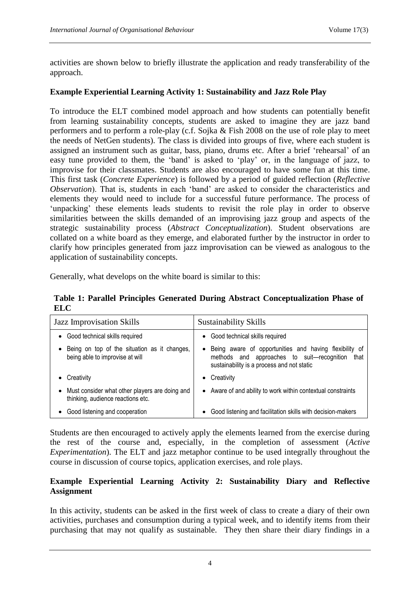activities are shown below to briefly illustrate the application and ready transferability of the approach.

### **Example Experiential Learning Activity 1: Sustainability and Jazz Role Play**

To introduce the ELT combined model approach and how students can potentially benefit from learning sustainability concepts, students are asked to imagine they are jazz band performers and to perform a role-play (c.f. Sojka & Fish 2008 on the use of role play to meet the needs of NetGen students). The class is divided into groups of five, where each student is assigned an instrument such as guitar, bass, piano, drums etc. After a brief 'rehearsal' of an easy tune provided to them, the 'band' is asked to 'play' or, in the language of jazz, to improvise for their classmates. Students are also encouraged to have some fun at this time. This first task (*Concrete Experience*) is followed by a period of guided reflection (*Reflective Observation*). That is, students in each 'band' are asked to consider the characteristics and elements they would need to include for a successful future performance. The process of 'unpacking' these elements leads students to revisit the role play in order to observe similarities between the skills demanded of an improvising jazz group and aspects of the strategic sustainability process (*Abstract Conceptualization*). Student observations are collated on a white board as they emerge, and elaborated further by the instructor in order to clarify how principles generated from jazz improvisation can be viewed as analogous to the application of sustainability concepts.

Generally, what develops on the white board is similar to this:

**Table 1: Parallel Principles Generated During Abstract Conceptualization Phase of ELC**

| <b>Jazz Improvisation Skills</b>                                                      | <b>Sustainability Skills</b>                                                                                                                              |
|---------------------------------------------------------------------------------------|-----------------------------------------------------------------------------------------------------------------------------------------------------------|
| Good technical skills required                                                        | • Good technical skills required                                                                                                                          |
| Being on top of the situation as it changes,<br>being able to improvise at will       | • Being aware of opportunities and having flexibility of<br>methods and approaches to suit-recognition that<br>sustainability is a process and not static |
| Creativity                                                                            | • Creativity                                                                                                                                              |
| • Must consider what other players are doing and<br>thinking, audience reactions etc. | • Aware of and ability to work within contextual constraints                                                                                              |
| Good listening and cooperation                                                        | Good listening and facilitation skills with decision-makers                                                                                               |

Students are then encouraged to actively apply the elements learned from the exercise during the rest of the course and, especially, in the completion of assessment (*Active Experimentation*). The ELT and jazz metaphor continue to be used integrally throughout the course in discussion of course topics, application exercises, and role plays.

# **Example Experiential Learning Activity 2: Sustainability Diary and Reflective Assignment**

In this activity, students can be asked in the first week of class to create a diary of their own activities, purchases and consumption during a typical week, and to identify items from their purchasing that may not qualify as sustainable. They then share their diary findings in a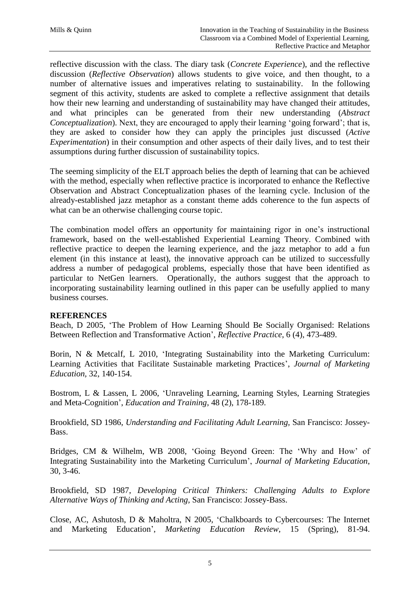reflective discussion with the class. The diary task (*Concrete Experience*), and the reflective discussion (*Reflective Observation*) allows students to give voice, and then thought, to a number of alternative issues and imperatives relating to sustainability. In the following segment of this activity, students are asked to complete a reflective assignment that details how their new learning and understanding of sustainability may have changed their attitudes, and what principles can be generated from their new understanding (*Abstract Conceptualization*). Next, they are encouraged to apply their learning 'going forward'; that is, they are asked to consider how they can apply the principles just discussed (*Active Experimentation*) in their consumption and other aspects of their daily lives, and to test their assumptions during further discussion of sustainability topics.

The seeming simplicity of the ELT approach belies the depth of learning that can be achieved with the method, especially when reflective practice is incorporated to enhance the Reflective Observation and Abstract Conceptualization phases of the learning cycle. Inclusion of the already-established jazz metaphor as a constant theme adds coherence to the fun aspects of what can be an otherwise challenging course topic.

The combination model offers an opportunity for maintaining rigor in one's instructional framework, based on the well-established Experiential Learning Theory. Combined with reflective practice to deepen the learning experience, and the jazz metaphor to add a fun element (in this instance at least), the innovative approach can be utilized to successfully address a number of pedagogical problems, especially those that have been identified as particular to NetGen learners. Operationally, the authors suggest that the approach to incorporating sustainability learning outlined in this paper can be usefully applied to many business courses.

# **REFERENCES**

Beach, D 2005, 'The Problem of How Learning Should Be Socially Organised: Relations Between Reflection and Transformative Action', *Reflective Practice*, 6 (4), 473-489.

Borin, N & Metcalf, L 2010, 'Integrating Sustainability into the Marketing Curriculum: Learning Activities that Facilitate Sustainable marketing Practices', *Journal of Marketing Education,* 32, 140-154.

Bostrom, L & Lassen, L 2006, 'Unraveling Learning, Learning Styles, Learning Strategies and Meta-Cognition', *Education and Training*, 48 (2), 178-189.

Brookfield, SD 1986, *Understanding and Facilitating Adult Learning,* San Francisco: Jossey-Bass.

Bridges, CM & Wilhelm, WB 2008, 'Going Beyond Green: The 'Why and How' of Integrating Sustainability into the Marketing Curriculum', *Journal of Marketing Education*, 30, 3-46.

Brookfield, SD 1987, *Developing Critical Thinkers: Challenging Adults to Explore Alternative Ways of Thinking and Acting,* San Francisco: Jossey-Bass.

Close, AC, Ashutosh, D & Maholtra, N 2005, 'Chalkboards to Cybercourses: The Internet and Marketing Education', *Marketing Education Review*, 15 (Spring), 81-94.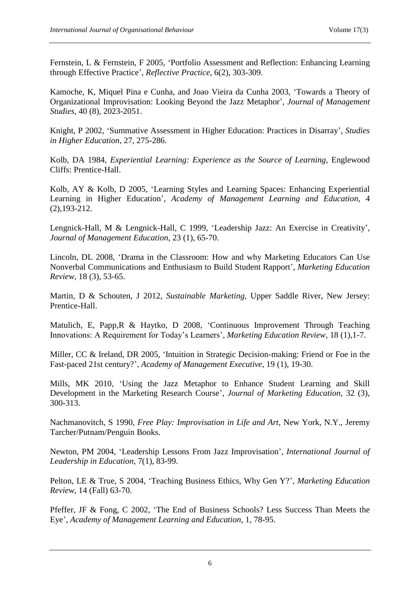Fernstein, L & Fernstein, F 2005, 'Portfolio Assessment and Reflection: Enhancing Learning through Effective Practice', *Reflective Practice*, 6(2), 303-309.

Kamoche, K, Miquel Pina e Cunha, and Joao Vieira da Cunha 2003, 'Towards a Theory of Organizational Improvisation: Looking Beyond the Jazz Metaphor', *Journal of Management Studies,* 40 (8), 2023-2051.

Knight, P 2002, 'Summative Assessment in Higher Education: Practices in Disarray', *Studies in Higher Education*, 27, 275-286.

Kolb, DA 1984, *Experiential Learning: Experience as the Source of Learning,* Englewood Cliffs: Prentice-Hall.

Kolb, AY & Kolb, D 2005, 'Learning Styles and Learning Spaces: Enhancing Experiential Learning in Higher Education', *Academy of Management Learning and Education*, 4 (2),193-212.

Lengnick-Hall, M & Lengnick-Hall, C 1999, 'Leadership Jazz: An Exercise in Creativity', *Journal of Management Education*, 23 (1), 65-70.

Lincoln, DL 2008, 'Drama in the Classroom: How and why Marketing Educators Can Use Nonverbal Communications and Enthusiasm to Build Student Rapport', *Marketing Education Review*, 18 (3), 53-65.

Martin, D & Schouten, J 2012, *Sustainable Marketing*, Upper Saddle River, New Jersey: Prentice-Hall.

Matulich, E, Papp,R & Haytko, D 2008, 'Continuous Improvement Through Teaching Innovations: A Requirement for Today's Learners', *Marketing Education Review*, 18 (1),1-7.

Miller, CC & Ireland, DR 2005, 'Intuition in Strategic Decision-making: Friend or Foe in the Fast-paced 21st century?', *Academy of Management Executive*, 19 (1), 19-30.

Mills, MK 2010, 'Using the Jazz Metaphor to Enhance Student Learning and Skill Development in the Marketing Research Course', *Journal of Marketing Education,* 32 (3), 300-313.

Nachmanovitch, S 1990, *Free Play: Improvisation in Life and Art*, New York, N.Y., Jeremy Tarcher/Putnam/Penguin Books.

Newton, PM 2004, 'Leadership Lessons From Jazz Improvisation', *International Journal of Leadership in Education*, 7(1), 83-99.

Pelton, LE & True, S 2004, 'Teaching Business Ethics, Why Gen Y?', *Marketing Education Review*, 14 (Fall) 63-70.

Pfeffer, JF & Fong, C 2002, 'The End of Business Schools? Less Success Than Meets the Eye', *Academy of Management Learning and Education*, 1, 78-95.